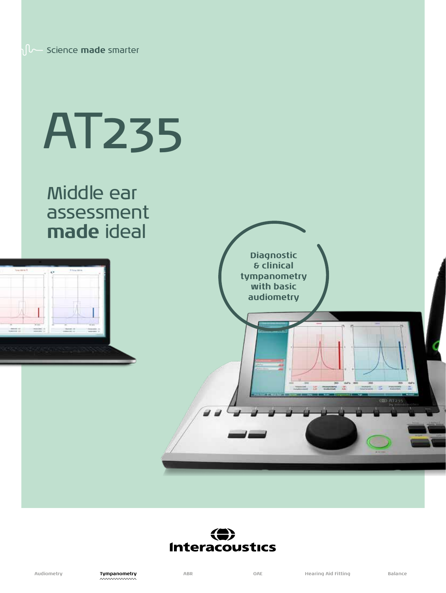# AT235

Middle ear assessment **made** ideal





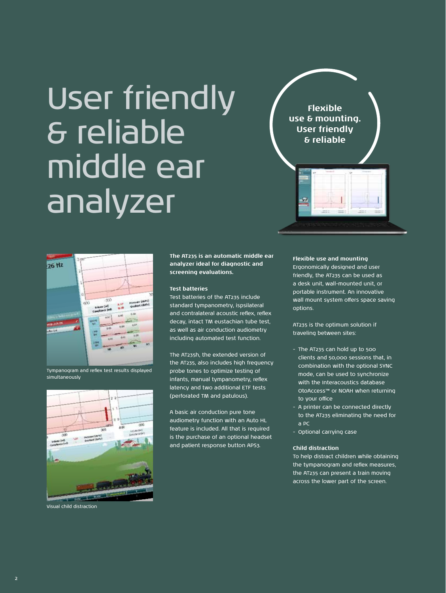### User friendly & reliable middle ear analyzer

**Flexible use & mounting. User friendly & reliable**



Tympanogram and reflex test results displayed simultaneously



Visual child distraction

**The AT235 is an automatic middle ear analyzer ideal for diagnostic and screening evaluations.** 

### **Test batteries**

Test batteries of the AT235 include standard tympanometry, ispsilateral and contralateral acoustic reflex, reflex decay, intact TM eustachian tube test, as well as air conduction audiometry including automated test function.

The AT235h, the extended version of the AT235, also includes high frequency probe tones to optimize testing of infants, manual tympanometry, reflex latency and two additional ETF tests (perforated TM and patulous).

A basic air conduction pure tone audiometry function with an Auto HL feature is included. All that is required is the purchase of an optional headset and patient response button APS3.

### **Flexible use and mounting**

Ergonomically designed and user friendly, the AT235 can be used as a desk unit, wall-mounted unit, or portable instrument. An innovative wall mount system offers space saving options.

AT235 is the optimum solution if traveling between sites:

- The AT235 can hold up to 500 clients and 50,000 sessions that, in combination with the optional SYNC mode, can be used to synchronize with the Interacoustics database OtoAccess™ or NOAH when returning to your office
- A printer can be connected directly to the AT235 eliminating the need for a PC
- Optional carrying case

### **Child distraction**

To help distract children while obtaining the tympanogram and reflex measures, the AT235 can present a train moving across the lower part of the screen.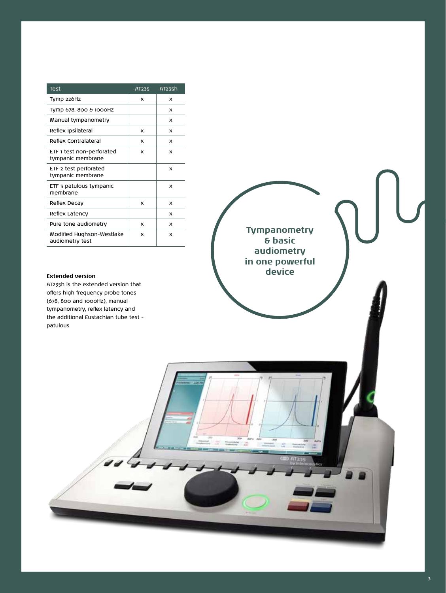| Test                                           | AT235 | AT235h |
|------------------------------------------------|-------|--------|
| Tymp 226Hz                                     | x     | x      |
| Tymp 678, 800 & 1000Hz                         |       | x      |
| Manual tympanometry                            |       | x      |
| Reflex Ipsilateral                             | x     | x      |
| Reflex Contralateral                           | x     | x      |
| ETF 1 test non-perforated<br>tympanic membrane | x     | x      |
| ETF 2 test perforated<br>tympanic membrane     |       | x      |
| ETF 3 patulous tympanic<br>membrane            |       | x      |
| Reflex Decay                                   | x     | x      |
| Reflex Latency                                 |       | x      |
| Pure tone audiometry                           | x     | x      |
| Modified Hughson-Westlake<br>audiometry test   | x     | x      |

AT235h is the extended version that offers high frequency probe tones (678, 800 and 1000Hz), manual tympanometry, reflex latency and the additional Eustachian tube test patulous

**Tympanometry & basic audiometry in one powerful Extended version** 

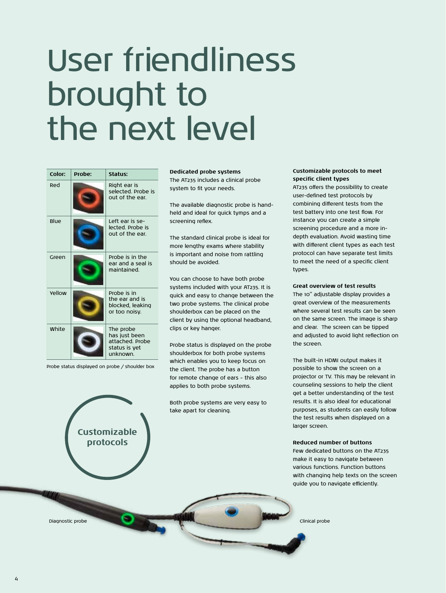### User friendliness brought to the next level

| Color: | Probe: | Status:                                                                   |  |
|--------|--------|---------------------------------------------------------------------------|--|
| Red    |        | Right ear is<br>selected. Probe is<br>out of the ear                      |  |
| Blue   |        | Left ear is se-<br>lected Probe is<br>out of the ear.                     |  |
| Green  |        | Probe is in the<br>ear and a seal is<br>maintained                        |  |
| Vellow |        | Probe is in<br>the ear and is<br>blocked, leaking<br>or too noisy.        |  |
| White  |        | The probe<br>has just been<br>attached Probe<br>status is yet<br>unknown. |  |

Probe status displayed on probe / shoulder box

**Customizable protocols**

**Dedicated probe systems** The AT235 includes a clinical probe

system to fit your needs.

The available diagnostic probe is handheld and ideal for quick tymps and a screening reflex.

The standard clinical probe is ideal for more lengthy exams where stability is important and noise from rattling should be avoided.

You can choose to have both probe systems included with your AT235. It is quick and easy to change between the two probe systems. The clinical probe shoulderbox can be placed on the client by using the optional headband, clips or key hanger.

Probe status is displayed on the probe shoulderbox for both probe systems which enables you to keep focus on the client. The probe has a button for remote change of ears – this also applies to both probe systems.

Both probe systems are very easy to take apart for cleaning.

### **Customizable protocols to meet specific client types**

AT235 offers the possibility to create user-defined test protocols by combining different tests from the test battery into one test flow. For instance you can create a simple screening procedure and a more indepth evaluation. Avoid wasting time with different client types as each test protocol can have separate test limits to meet the need of a specific client types.

### **Great overview of test results**

The 10" adjustable display provides a great overview of the measurements where several test results can be seen on the same screen. The image is sharp and clear. The screen can be tipped and adjusted to avoid light reflection on the screen.

The built-in HDMI output makes it possible to show the screen on a projector or TV. This may be relevant in counseling sessions to help the client get a better understanding of the test results. It is also ideal for educational purposes, as students can easily follow the test results when displayed on a larger screen.

### **Reduced number of buttons**

Few dedicated buttons on the AT235 make it easy to navigate between various functions. Function buttons with changing help texts on the screen guide you to navigate efficiently.

Diagnostic probe Clinical probe Clinical probe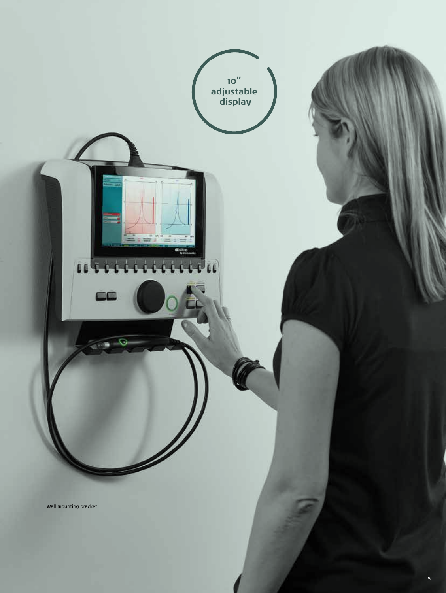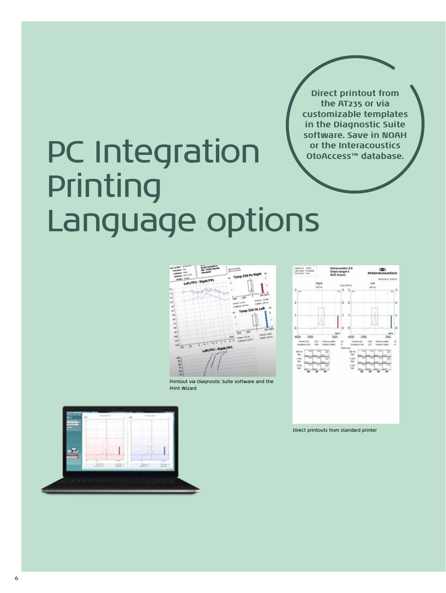**Direct printout from the AT235 or via customizable templates in the Diagnostic Suite software. Save in NOAH or the Interacoustics OtoAccess™ database.** 

## PC Integration Printing Language options



Printout via Diagnostic Suite software and the Print Wizard.





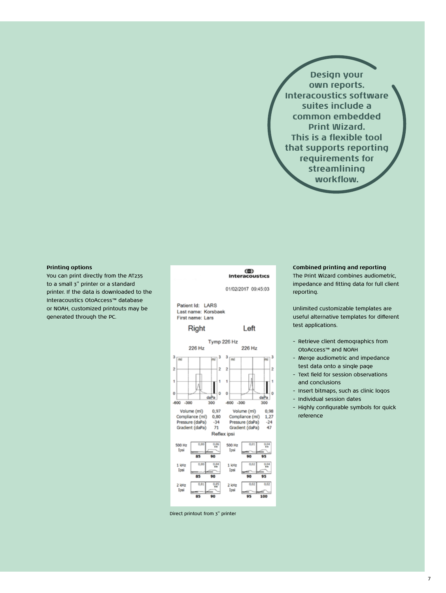**Design your own reports. Interacoustics software suites include a common embedded Print Wizard. This is a flexible tool that supports reporting requirements for streamlining workflow.**

### **Printing options**

You can print directly from the AT235 to a small 3" printer or a standard printer. If the data is downloaded to the Interacoustics OtoAccess™ database or NOAH, customized printouts may be generated through the PC.



Direct printout from 3" printer

### **Combined printing and reporting**

The Print Wizard combines audiometric, impedance and fitting data for full client reporting.

Unlimited customizable templates are useful alternative templates for different test applications.

- Retrieve client demographics from OtoAccess™ and NOAH
- Merge audiometric and impedance test data onto a single page
- Text field for session observations and conclusions
- Insert bitmaps, such as clinic logos
- Individual session dates
- Highly configurable symbols for quick reference